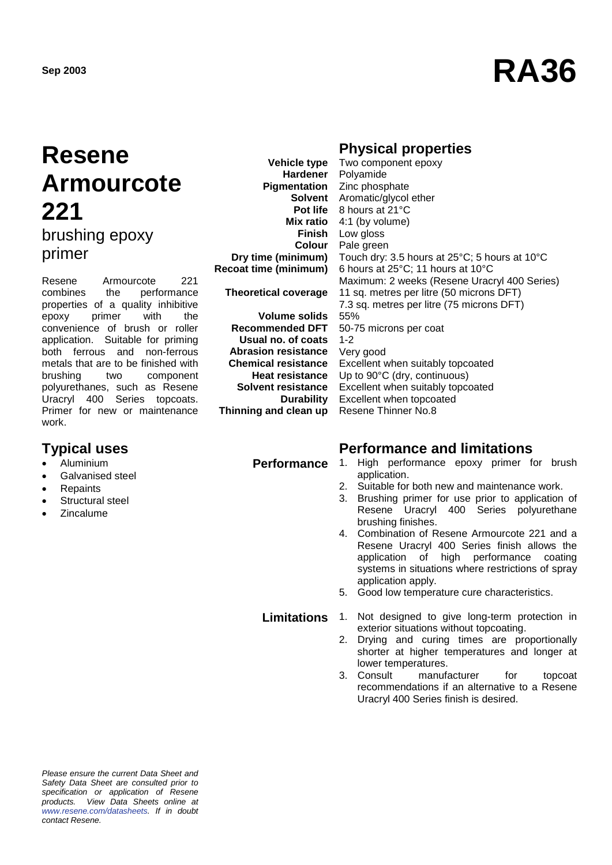# **Sep 2003 RA36**

### **Resene Armourcote 221** brushing epoxy primer

Resene Armourcote 221 combines the performance properties of a quality inhibitive<br>epoxy primer with the epoxy primer with the convenience of brush or roller application. Suitable for priming both ferrous and non-ferrous metals that are to be finished with brushing two component polyurethanes, such as Resene Uracryl 400 Series topcoats. Primer for new or maintenance work.

- Aluminium
- Galvanised steel
- **Repaints**
- Structural steel
- Zincalume

**Vehicle type Hardener Pigmentation Finish Colour Dry time (minimum) Recoat time (minimum) Theoretical coverage**

**Volume solids Recommended DFT Usual no. of coats Abrasion resistance Chemical resistance Heat resistance Solvent resistance Durability Thinning and clean up**

### **Physical properties**

**Solvent** Aromatic/glycol ether **Pot life** 8 hours at 21°C **Mix ratio** 4:1 (by volume) Two component epoxy Polyamide Zinc phosphate Low gloss Pale green Touch dry: 3.5 hours at 25°C; 5 hours at 10°C 6 hours at 25°C; 11 hours at 10°C Maximum: 2 weeks (Resene Uracryl 400 Series) 11 sq. metres per litre (50 microns DFT) 7.3 sq. metres per litre (75 microns DFT) 55% 50-75 microns per coat 1-2 Very good Excellent when suitably topcoated Up to 90°C (dry, continuous) Excellent when suitably topcoated Excellent when topcoated Resene Thinner No.8

#### **Typical uses Performance and limitations**

- Performance 1. High performance epoxy primer for brush application.
	- 2. Suitable for both new and maintenance work.
	- 3. Brushing primer for use prior to application of Resene Uracryl 400 Series polyurethane brushing finishes.
	- 4. Combination of Resene Armourcote 221 and a Resene Uracryl 400 Series finish allows the application of high performance coating systems in situations where restrictions of spray application apply.
	- 5. Good low temperature cure characteristics.

#### **Limitations** 1. Not designed to give long-term protection in

- exterior situations without topcoating. 2. Drying and curing times are proportionally shorter at higher temperatures and longer at
	- lower temperatures. 3. Consult manufacturer for topcoat recommendations if an alternative to a Resene Uracryl 400 Series finish is desired.